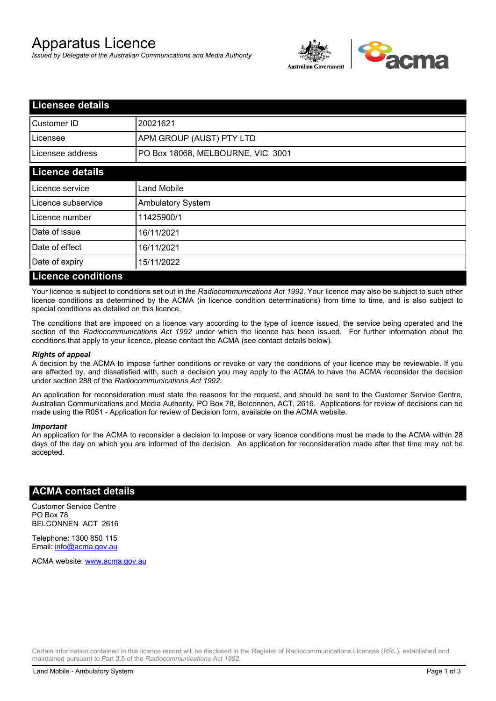# Apparatus Licence

*Issued by Delegate of the Australian Communications and Media Authority*



| <b>Licensee details</b>   |                                   |  |  |
|---------------------------|-----------------------------------|--|--|
| Customer ID               | 20021621                          |  |  |
| l Licensee                | <b>APM GROUP (AUST) PTY LTD</b>   |  |  |
| Licensee address          | PO Box 18068, MELBOURNE, VIC 3001 |  |  |
| <b>Licence details</b>    |                                   |  |  |
| Licence service           | <b>Land Mobile</b>                |  |  |
| Licence subservice        | <b>Ambulatory System</b>          |  |  |
| Licence number            | 11425900/1                        |  |  |
| Date of issue             | 16/11/2021                        |  |  |
| Date of effect            | 16/11/2021                        |  |  |
| Date of expiry            | 15/11/2022                        |  |  |
| <b>Licence conditions</b> |                                   |  |  |

Your licence is subject to conditions set out in the *Radiocommunications Act 1992*. Your licence may also be subject to such other licence conditions as determined by the ACMA (in licence condition determinations) from time to time, and is also subject to special conditions as detailed on this licence.

The conditions that are imposed on a licence vary according to the type of licence issued, the service being operated and the section of the *Radiocommunications Act 1992* under which the licence has been issued. For further information about the conditions that apply to your licence, please contact the ACMA (see contact details below).

### *Rights of appeal*

A decision by the ACMA to impose further conditions or revoke or vary the conditions of your licence may be reviewable. If you are affected by, and dissatisfied with, such a decision you may apply to the ACMA to have the ACMA reconsider the decision under section 288 of the *Radiocommunications Act 1992*.

An application for reconsideration must state the reasons for the request, and should be sent to the Customer Service Centre, Australian Communications and Media Authority, PO Box 78, Belconnen, ACT, 2616. Applications for review of decisions can be made using the R051 - Application for review of Decision form, available on the ACMA website.

#### *Important*

An application for the ACMA to reconsider a decision to impose or vary licence conditions must be made to the ACMA within 28 days of the day on which you are informed of the decision. An application for reconsideration made after that time may not be accepted.

## **ACMA contact details**

Customer Service Centre PO Box 78 BELCONNEN ACT 2616

Telephone: 1300 850 115 Email: info@acma.gov.au

ACMA website: www.acma.gov.au

Certain information contained in this licence record will be disclosed in the Register of Radiocommunications Licences (RRL), established and maintained pursuant to Part 3.5 of the *Radiocommunications Act 1992.*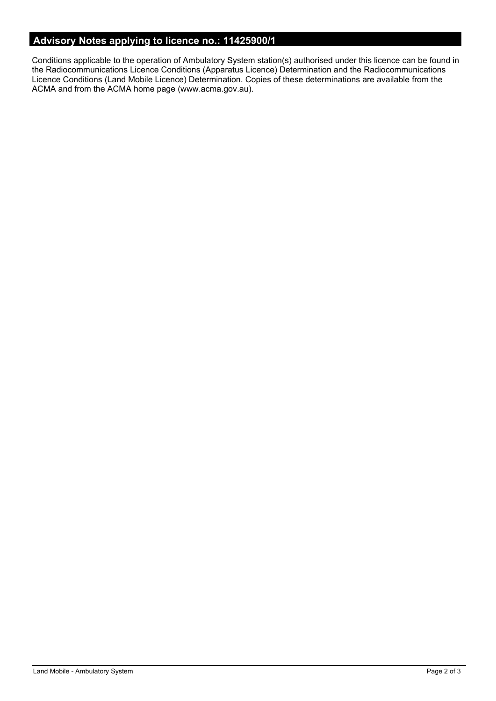# **Advisory Notes applying to licence no.: 11425900/1**

Conditions applicable to the operation of Ambulatory System station(s) authorised under this licence can be found in the Radiocommunications Licence Conditions (Apparatus Licence) Determination and the Radiocommunications Licence Conditions (Land Mobile Licence) Determination. Copies of these determinations are available from the ACMA and from the ACMA home page (www.acma.gov.au).